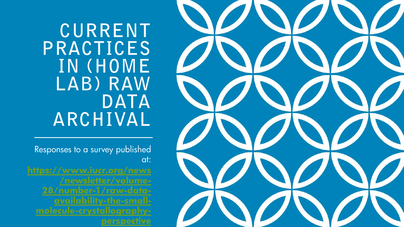CURRENT PRACTICES IN (HOME LAB) RAW **DATA** ARCHIVAL

Responses to a survey published at:

**[https://www.iucr.org/news](https://www.iucr.org/news/newsletter/volume-28/number-1/raw-data-availability-the-small-molecule-crystallography-perspective) /newsletter/volume-28/number-1/raw-dataavailability-the-smallmolecule-crystallographyperspective**

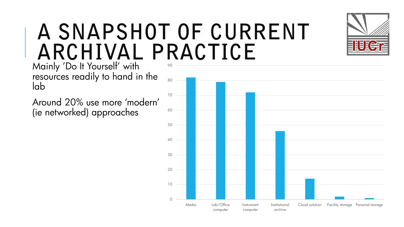### A SNAPSHOT OF CURRENT ARCHIVAL PRACTICE

Mainly 'Do It Yourself' with resources readily to hand in the lab

Around 20% use more 'modern' (ie networked) approaches



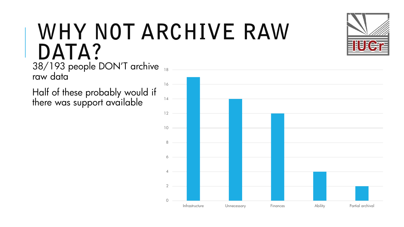#### WHY NOT ARCHIVE RAW DATA?

38/193 people DON'T archive 18 raw data

Half of these probably would if there was support available

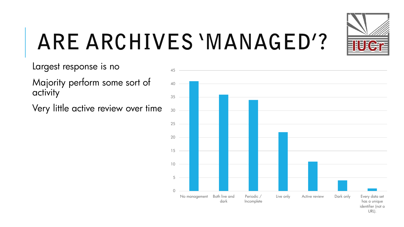

# ARE ARCHIVES 'MANAGED'?

Largest response is no

Majority perform some sort of activity

Very little active review over time

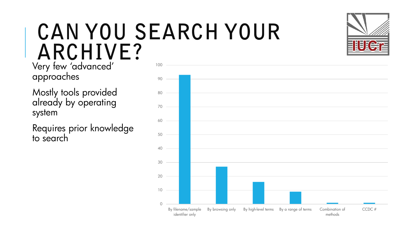### CAN YOU SEARCH YOUR ARCHIVE?

Very few 'advanced' approaches

Mostly tools provided already by operating system

Requires prior knowledge to search



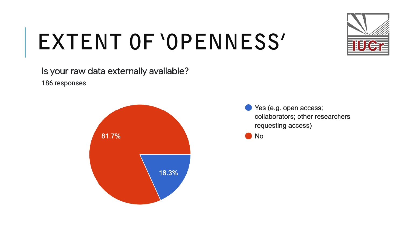

## EXTENT OF 'OPENNESS'

Is your raw data externally available? 186 responses



Yes (e.g. open access; collaborators; other researchers requesting access)

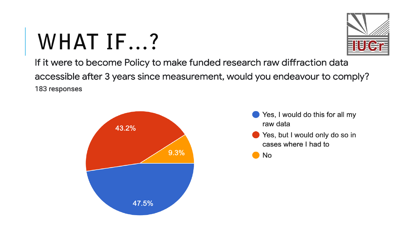# **WHAT IF...?**



If it were to become Policy to make funded research raw diffraction data accessible after 3 years since measurement, would you endeavour to comply? 183 responses



- Yes, I would do this for all my raw data
- Yes, but I would only do so in cases where I had to

**No**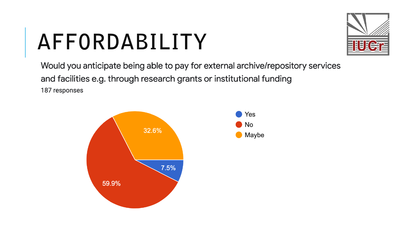# AFFORDABILITY



Would you anticipate being able to pay for external archive/repository services and facilities e.g. through research grants or institutional funding 187 responses

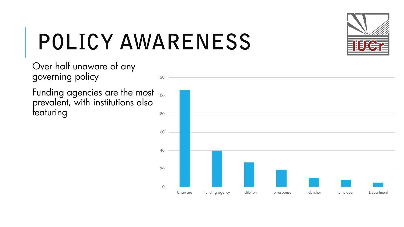

# **POLICY AWARENESS**

Over half unaware of any governing policy

Funding agencies are the most prevalent, with institutions also featuring

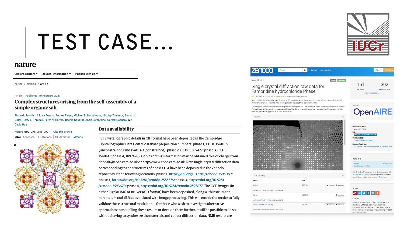### **TEST CASE...**

#### nature

Explore content  $\vee$  Journal information  $\vee$  Publish with us  $\vee$ 

nature > articles > article

#### Article | Published: 10 February 2021

#### Complex structures arising from the self-assembly of a simple organic salt

Riccardo Montis ⊠, Luca Fusaro, Andrea Falgui, Michael B. Hursthouse, Nikolay Tumanov, Simon J. Coles, Terry L. Threlfall, Peter N. Horton, Rachid Sougrat, Anaïs Lafontaine, Gérard Coquerel & A. **David Rae** 

Nature 590, 275-278 (2021) Cite this article 7042 Accesses | 2 Citations | 61 Altmetric | Metrics



#### Data availability

Full crystallographic details in CIF format have been deposited in the Cambridge Crystallographic Data Centre database (deposition numbers: phase 1, CCDC 1540139 (unconstrained) and 1540140 (constrained); phase 2, CCDC 1897427; phase 3, CCDC 1540141; phase 4, 1897428). Copies of this information may be obtained free of charge from deposit@ccdc.cam.ac.uk or http://www.ccdc.cam.ac.uk. Raw single-crystal diffraction data corresponding to the structures of phases 1-4 have been deposited in the Zenodo repository at the following locations: phase 1, https://doi.org/10.5281/zenodo.2595089; phase 2, https://doi.org/10.5281/zenodo.2585776; phase 3, https://doi.org/10.5281 /zenodo.2593670; phase 4, https://doi.org/10.5281/zenodo.2593677. The CCD images (in either Rigaku IMG or Bruker KCD format) have been deposited, along with instrument parameters and all files associated with image processing. This will enable the reader to fully validate these structural models and, for those who wish to investigate alternative approaches to modelling these results or develop them further, it will be possible to do so without having to synthesize the materials and collect diffraction data. NMR results are



| <b>ZANOCO</b><br>Search                                                                                                                                                                                                                                                                                                                                                                               | Q<br>Upload                        | Communities            |            |                                                                                                                                                                                                                 | Sign up<br>+ Log in |  |
|-------------------------------------------------------------------------------------------------------------------------------------------------------------------------------------------------------------------------------------------------------------------------------------------------------------------------------------------------------------------------------------------------------|------------------------------------|------------------------|------------|-----------------------------------------------------------------------------------------------------------------------------------------------------------------------------------------------------------------|---------------------|--|
| March 15, 2019<br>Single crystal diffraction raw data for<br>Fampridine hydrochloride Phase 1<br>Coles, Simon; Montis, Riccardo; C Horton, Peter, Hursthouse, Michael                                                                                                                                                                                                                                 | 151<br>® views<br>See more details | 302<br>$\pm$ downloads |            |                                                                                                                                                                                                                 |                     |  |
| A set of diffraction images (in both Denzo .x and Bruker Nonius .kcd formats) collected on a Bruker Nonius KappaCCD                                                                                                                                                                                                                                                                                   |                                    |                        |            |                                                                                                                                                                                                                 |                     |  |
| diffractometer on an FR591 rotating anode generator equipped with confocal mirrors.<br>The sample is Phase 1 of the Fampridine hydrochloride organic salt - a system that forms numerous complicated phases.<br>The authors wish to make the raw data available so that those who wish to explore the modelling of these exceptionally<br>complex systems may process the data themselves.<br>Preview |                                    |                        |            | Indexed in<br><b>OpenAIRE</b>                                                                                                                                                                                   |                     |  |
|                                                                                                                                                                                                                                                                                                                                                                                                       |                                    |                        |            | <b>Publication date:</b><br>March 15, 2019<br>DOI:<br>DOI 10.5281/zenodo.2595089<br><b>Communities:</b><br>Chemical Crystallography<br>License (for files):<br>C Creative Commons Attribution 4.0 International |                     |  |
|                                                                                                                                                                                                                                                                                                                                                                                                       |                                    |                        |            | Versions<br>Version 1<br>10.5281/zenodo.2595089                                                                                                                                                                 | Mar 15 2019         |  |
| Files (384.3 MB)                                                                                                                                                                                                                                                                                                                                                                                      |                                    |                        |            | Cite all versions? You can cite all versions by using the DOI<br>10.5281/zenodo.2595088. This DOI represents all versions,<br>and will always resolve to the latest one. Read more.                             |                     |  |
| Name                                                                                                                                                                                                                                                                                                                                                                                                  | <b>Size</b>                        |                        |            |                                                                                                                                                                                                                 |                     |  |
| Okl.jpg                                                                                                                                                                                                                                                                                                                                                                                               | 55.7 kB                            | <b>B</b> Preview       | 上 Download | Share                                                                                                                                                                                                           |                     |  |
| md5:afe35e52223ba22723fed25b18a1be19@                                                                                                                                                                                                                                                                                                                                                                 |                                    |                        |            | $M \equiv 9 + 6 +$                                                                                                                                                                                              |                     |  |
| 0kl.syn                                                                                                                                                                                                                                                                                                                                                                                               | 609.1 kB                           |                        | 上 Download |                                                                                                                                                                                                                 |                     |  |
| md5:c50261f7f4f2715170a01b4156108249@                                                                                                                                                                                                                                                                                                                                                                 |                                    |                        |            | Cite as<br>Coles, Simon, Montis, Riccardo, Horton, Peter, &                                                                                                                                                     |                     |  |
| apex2-0625-00315-625.zip                                                                                                                                                                                                                                                                                                                                                                              | 1.4 MB                             | <b>B</b> Preview       | ▲ Download | Hursthouse, Michael. (2019). Single crystal<br>diffraction raw data for Fampridine hydrochloride                                                                                                                |                     |  |
| md5:f2c674b08525f33361fc9f05a142b622@<br>Phase 1 [Data set]. Zenodo. https://doi.org/10.5281<br>/zenodo 2595089                                                                                                                                                                                                                                                                                       |                                    |                        |            |                                                                                                                                                                                                                 |                     |  |

 $\overline{A}$ 

March

Sir

**G** Col

 $\triangle$  eat  $r$ diffra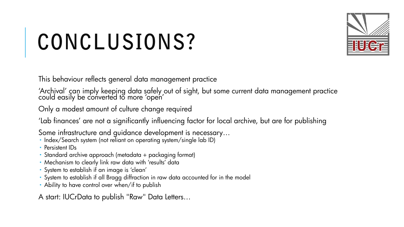# CONCLUSIONS?



This behaviour reflects general data management practice

'Archival' can imply keeping data safely out of sight, but some current data management practice could easily be converted to more 'open'

Only a modest amount of culture change required

'Lab finances' are not a significantly influencing factor for local archive, but are for publishing

Some infrastructure and guidance development is necessary…

- Index/Search system (not reliant on operating system/single lab ID)
- **Persistent IDs**
- Standard archive approach (metadata + packaging format)
- Mechanism to clearly link raw data with 'results' data
- System to establish if an image is 'clean'
- System to establish if all Bragg diffraction in raw data accounted for in the model
- Ability to have control over when/if to publish

A start: IUCrData to publish "Raw" Data Letters…